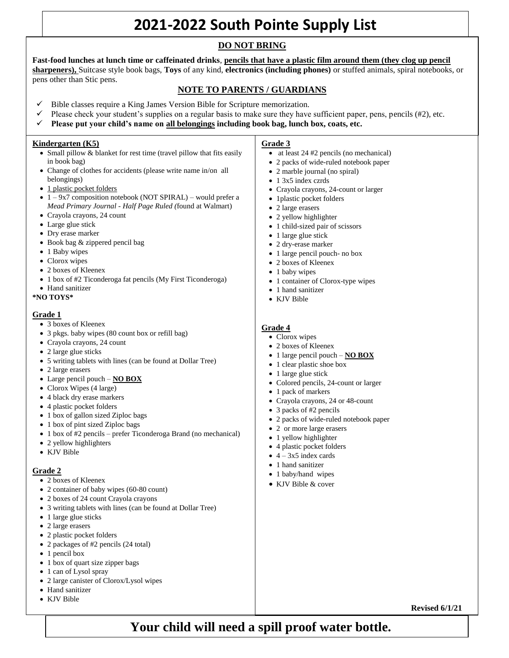# **2021-2022 South Pointe Supply List**

## **DO NOT BRING**

sharpeners), Suitcase style book bags, Toys of any kind, electronics (including phones) or stuffed animals, spiral notebooks, or pens other than Stic pens. **Fast-food lunches at lunch time or caffeinated drinks**, **pencils that have a plastic film around them (they clog up pencil** 

### Lunches – please do not bring fast-food lunches or caffeinated beverages. **NOTE TO PARENTS / GUARDIANS**

- Bible classes require a King James Version Bible for Scripture memorization.
- Please check your student's supplies on a regular basis to make sure they have sufficient paper, pens, pencils  $(\#2)$ , etc.
- **Please put your child's name on all belongings including book bag, lunch box, coats, etc.**

#### **Kindergarten (K5)**

- Small pillow & blanket for rest time (travel pillow that fits easily in book bag)
- Change of clothes for accidents (please write name in/on all belongings)
- 1 plastic pocket folders
- $\bullet$  1 9x7 composition notebook (NOT SPIRAL) would prefer a *Mead Primary Journal - Half Page Ruled (*found at Walmart)
- Crayola crayons, 24 count
- Large glue stick
- Dry erase marker
- Book bag & zippered pencil bag
- 1 Baby wipes
- Clorox wipes
- 2 boxes of Kleenex
- 1 box of #2 Ticonderoga fat pencils (My First Ticonderoga)
- Hand sanitizer

#### **\*NO TOYS\***

#### **Grade 1**

- 3 boxes of Kleenex
- 3 pkgs. baby wipes (80 count box or refill bag)
- Crayola crayons, 24 count
- 2 large glue sticks
- 5 writing tablets with lines (can be found at Dollar Tree)
- 2 large erasers
- Large pencil pouch **NO BOX**
- Clorox Wipes (4 large)
- 4 black dry erase markers
- 4 plastic pocket folders
- 1 box of gallon sized Ziploc bags
- 1 box of pint sized Ziploc bags
- 1 box of #2 pencils prefer Ticonderoga Brand (no mechanical)
- 2 yellow highlighters
- KJV Bible

#### **Grade 2**

- 2 boxes of Kleenex
- 2 container of baby wipes (60-80 count)
- 2 boxes of 24 count Crayola crayons
- 3 writing tablets with lines (can be found at Dollar Tree)
- 1 large glue sticks
- 2 large erasers
- 2 plastic pocket folders
- 2 packages of #2 pencils (24 total)
- 1 pencil box
- 1 box of quart size zipper bags
- 1 can of Lysol spray
- 2 large canister of Clorox/Lysol wipes
- Hand sanitizer
- KJV Bible

#### **Grade 3**

- at least 24 #2 pencils (no mechanical)
- 2 packs of wide-ruled notebook paper
- 2 marble journal (no spiral)
- 1 3x5 index czrds
- Crayola crayons, 24-count or larger
- 1 plastic pocket folders
- 2 large erasers
- 2 yellow highlighter
- 1 child-sized pair of scissors
- 1 large glue stick
- 2 dry-erase marker
- 1 large pencil pouch- no box
- 2 boxes of Kleenex
- 1 baby wipes
- 1 container of Clorox-type wipes
- 1 hand sanitizer
- KJV Bible

#### **Grade 4**

- Clorox wipes
- 2 boxes of Kleenex
- 1 large pencil pouch **NO BOX**
- 1 clear plastic shoe box
- 1 large glue stick
- Colored pencils, 24-count or larger
- 1 pack of markers
- Crayola crayons, 24 or 48-count
- 3 packs of #2 pencils
- 2 packs of wide-ruled notebook paper
- 2 or more large erasers
- 1 yellow highlighter
- 4 plastic pocket folders
- $\bullet$  4 3x5 index cards
- 1 hand sanitizer
- 1 baby/hand wipes
- KJV Bible & cover

**Revised 6/1/21**

# **Your child will need a spill proof water bottle.**